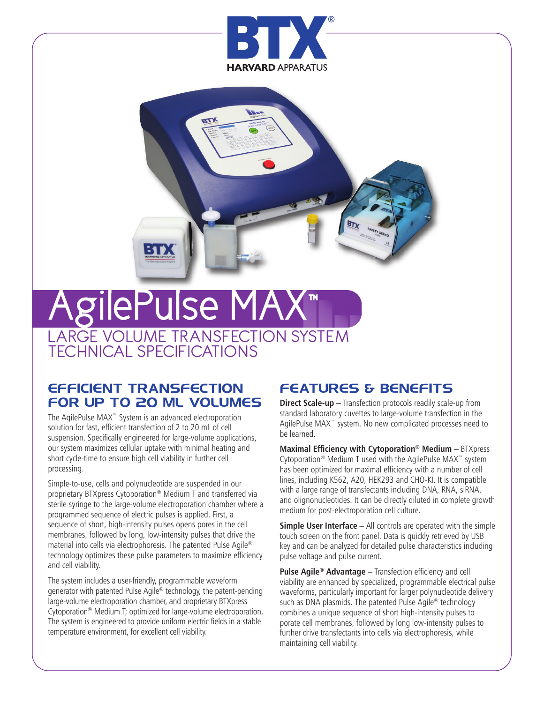



## AgilePulse MA LARGE VOLUME TRANSFECTION SYSTEM TECHNICAL SPECIFICATIONS

#### **EFFICIENT TRANSFECTION FOR UP TO 20 ML VOLUMES**

The AgilePulse MAX™ System is an advanced electroporation solution for fast, efficient transfection of 2 to 20 mL of cell suspension. Specifically engineered for large-volume applications, our system maximizes cellular uptake with minimal heating and short cycle-time to ensure high cell viability in further cell processing.

Simple-to-use, cells and polynucleotide are suspended in our proprietary BTXpress Cytoporation® Medium T and transferred via sterile syringe to the large-volume electroporation chamber where a programmed sequence of electric pulses is applied. First, a sequence of short, high-intensity pulses opens pores in the cell membranes, followed by long, low-intensity pulses that drive the material into cells via electrophoresis. The patented Pulse Agile® technology optimizes these pulse parameters to maximize efficiency and cell viability.

The system includes a user-friendly, programmable waveform generator with patented Pulse Agile® technology, the patent-pending large-volume electroporation chamber, and proprietary BTXpress Cytoporation® Medium T; optimized for large-volume electroporation. The system is engineered to provide uniform electric fields in a stable temperature environment, for excellent cell viability.

### **FEATURES & BENEFITS**

**Direct Scale-up –** Transfection protocols readily scale-up from standard laboratory cuvettes to large-volume transfection in the AgilePulse MAX™ system. No new complicated processes need to be learned.

**Maximal Efficiency with Cytoporation® Medium –** BTXpress Cytoporation® Medium T used with the AgilePulse MAX™ system has been optimized for maximal efficiency with a number of cell lines, including K562, A20, HEK293 and CHO-KI. It is compatible with a large range of transfectants including DNA, RNA, siRNA, and olignonucleotides. It can be directly diluted in complete growth medium for post-electroporation cell culture.

**Simple User Interface –** All controls are operated with the simple touch screen on the front panel. Data is quickly retrieved by USB key and can be analyzed for detailed pulse characteristics including pulse voltage and pulse current.

**Pulse Agile® Advantage –** Transfection efficiency and cell viability are enhanced by specialized, programmable electrical pulse waveforms, particularly important for larger polynucleotide delivery such as DNA plasmids. The patented Pulse Agile® technology combines a unique sequence of short high-intensity pulses to porate cell membranes, followed by long low-intensity pulses to further drive transfectants into cells via electrophoresis, while maintaining cell viability.